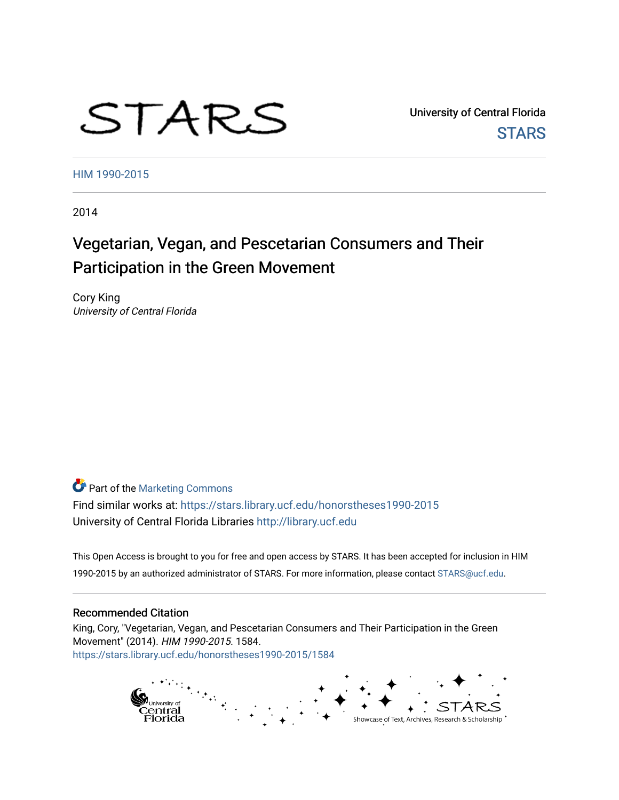# STARS

University of Central Florida **STARS** 

[HIM 1990-2015](https://stars.library.ucf.edu/honorstheses1990-2015) 

2014

## Vegetarian, Vegan, and Pescetarian Consumers and Their Participation in the Green Movement

Cory King University of Central Florida

**Part of the [Marketing Commons](http://network.bepress.com/hgg/discipline/638?utm_source=stars.library.ucf.edu%2Fhonorstheses1990-2015%2F1584&utm_medium=PDF&utm_campaign=PDFCoverPages)** Find similar works at: <https://stars.library.ucf.edu/honorstheses1990-2015> University of Central Florida Libraries [http://library.ucf.edu](http://library.ucf.edu/) 

This Open Access is brought to you for free and open access by STARS. It has been accepted for inclusion in HIM 1990-2015 by an authorized administrator of STARS. For more information, please contact [STARS@ucf.edu](mailto:STARS@ucf.edu).

#### Recommended Citation

King, Cory, "Vegetarian, Vegan, and Pescetarian Consumers and Their Participation in the Green Movement" (2014). HIM 1990-2015. 1584. [https://stars.library.ucf.edu/honorstheses1990-2015/1584](https://stars.library.ucf.edu/honorstheses1990-2015/1584?utm_source=stars.library.ucf.edu%2Fhonorstheses1990-2015%2F1584&utm_medium=PDF&utm_campaign=PDFCoverPages) 

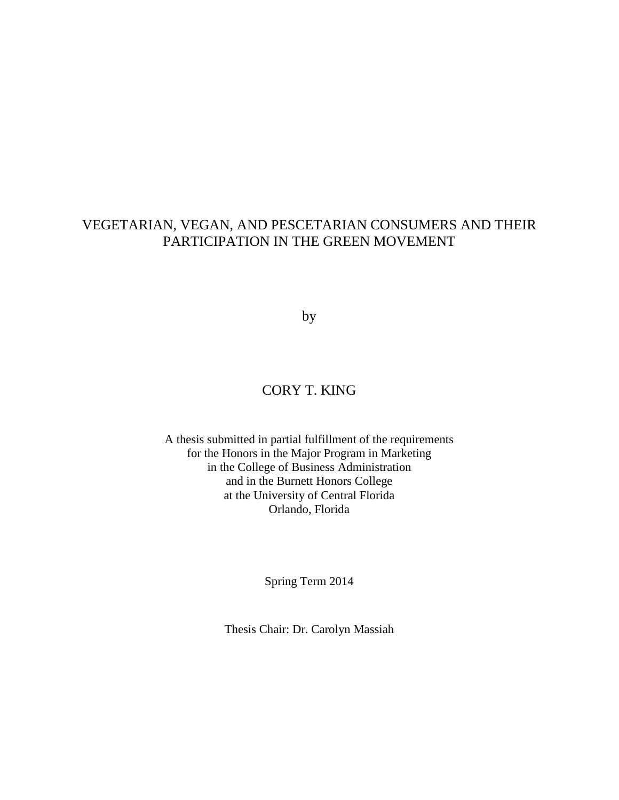## VEGETARIAN, VEGAN, AND PESCETARIAN CONSUMERS AND THEIR PARTICIPATION IN THE GREEN MOVEMENT

by

## CORY T. KING

A thesis submitted in partial fulfillment of the requirements for the Honors in the Major Program in Marketing in the College of Business Administration and in the Burnett Honors College at the University of Central Florida Orlando, Florida

Spring Term 2014

Thesis Chair: Dr. Carolyn Massiah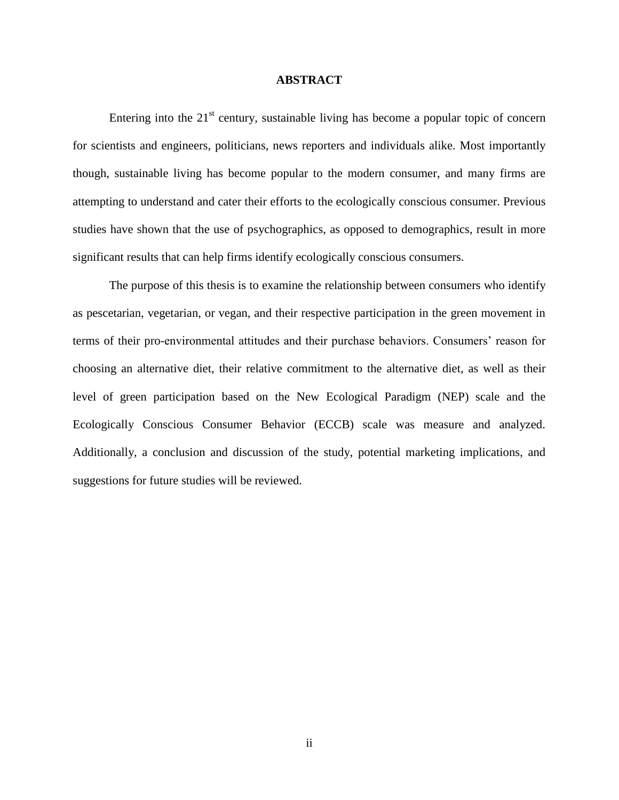#### **ABSTRACT**

Entering into the  $21<sup>st</sup>$  century, sustainable living has become a popular topic of concern for scientists and engineers, politicians, news reporters and individuals alike. Most importantly though, sustainable living has become popular to the modern consumer, and many firms are attempting to understand and cater their efforts to the ecologically conscious consumer. Previous studies have shown that the use of psychographics, as opposed to demographics, result in more significant results that can help firms identify ecologically conscious consumers.

The purpose of this thesis is to examine the relationship between consumers who identify as pescetarian, vegetarian, or vegan, and their respective participation in the green movement in terms of their pro-environmental attitudes and their purchase behaviors. Consumers' reason for choosing an alternative diet, their relative commitment to the alternative diet, as well as their level of green participation based on the New Ecological Paradigm (NEP) scale and the Ecologically Conscious Consumer Behavior (ECCB) scale was measure and analyzed. Additionally, a conclusion and discussion of the study, potential marketing implications, and suggestions for future studies will be reviewed.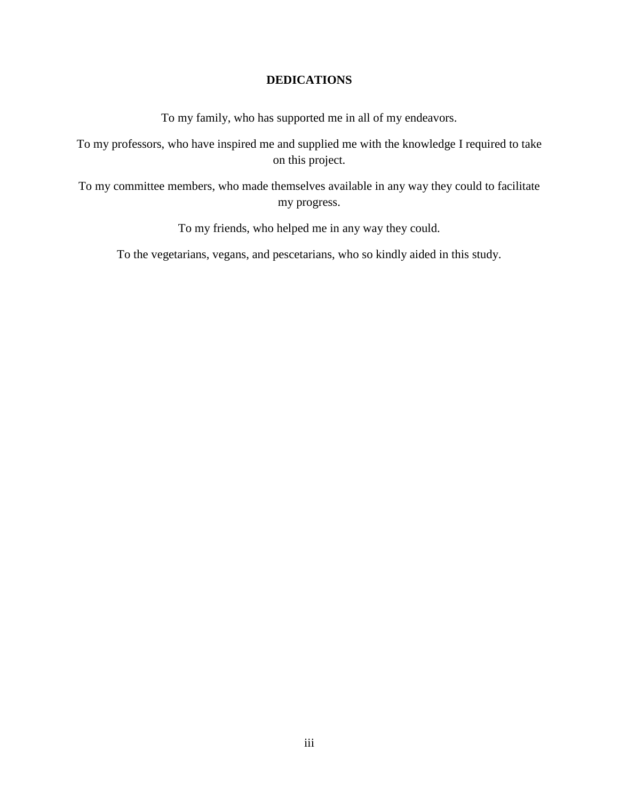#### **DEDICATIONS**

To my family, who has supported me in all of my endeavors.

To my professors, who have inspired me and supplied me with the knowledge I required to take on this project.

To my committee members, who made themselves available in any way they could to facilitate my progress.

To my friends, who helped me in any way they could.

To the vegetarians, vegans, and pescetarians, who so kindly aided in this study.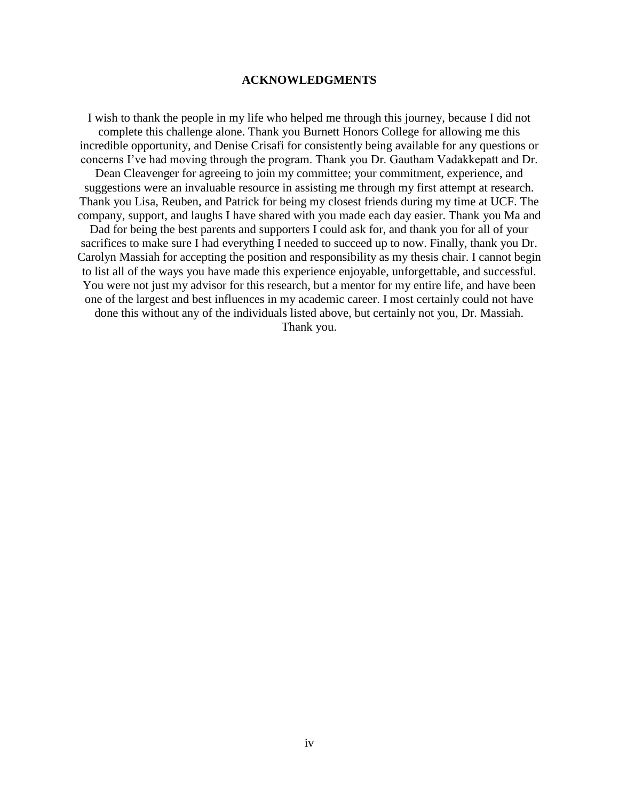#### **ACKNOWLEDGMENTS**

I wish to thank the people in my life who helped me through this journey, because I did not complete this challenge alone. Thank you Burnett Honors College for allowing me this incredible opportunity, and Denise Crisafi for consistently being available for any questions or concerns I've had moving through the program. Thank you Dr. Gautham Vadakkepatt and Dr. Dean Cleavenger for agreeing to join my committee; your commitment, experience, and suggestions were an invaluable resource in assisting me through my first attempt at research. Thank you Lisa, Reuben, and Patrick for being my closest friends during my time at UCF. The company, support, and laughs I have shared with you made each day easier. Thank you Ma and Dad for being the best parents and supporters I could ask for, and thank you for all of your sacrifices to make sure I had everything I needed to succeed up to now. Finally, thank you Dr. Carolyn Massiah for accepting the position and responsibility as my thesis chair. I cannot begin to list all of the ways you have made this experience enjoyable, unforgettable, and successful. You were not just my advisor for this research, but a mentor for my entire life, and have been one of the largest and best influences in my academic career. I most certainly could not have done this without any of the individuals listed above, but certainly not you, Dr. Massiah. Thank you.

iv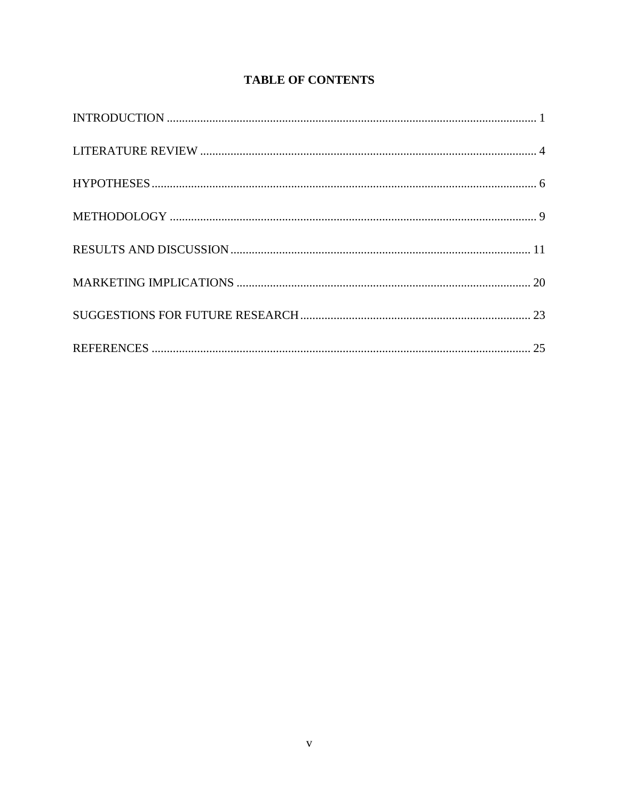## **TABLE OF CONTENTS**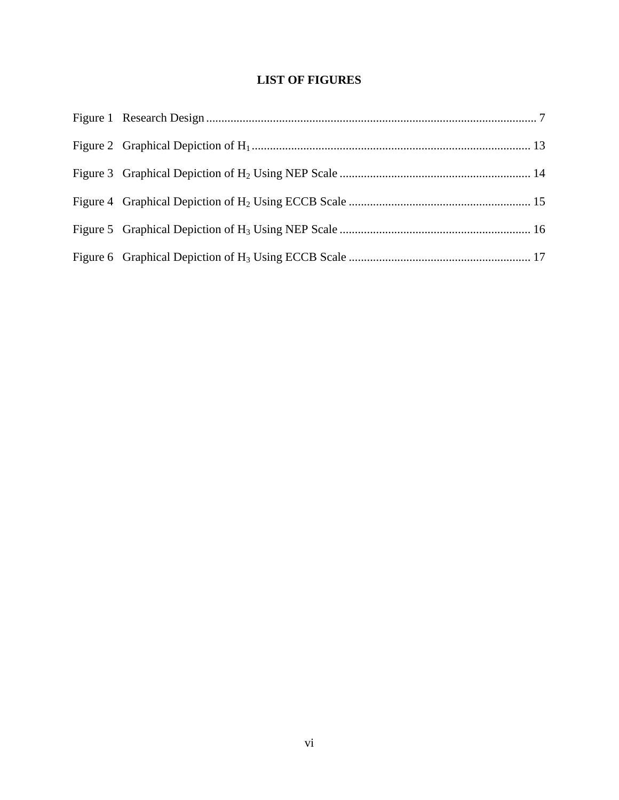### **LIST OF FIGURES**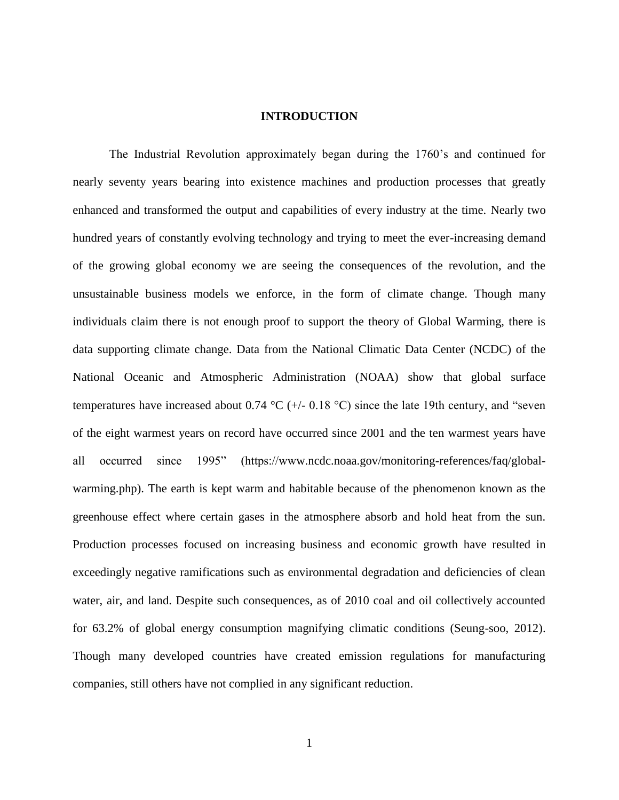#### **INTRODUCTION**

<span id="page-7-0"></span>The Industrial Revolution approximately began during the 1760's and continued for nearly seventy years bearing into existence machines and production processes that greatly enhanced and transformed the output and capabilities of every industry at the time. Nearly two hundred years of constantly evolving technology and trying to meet the ever-increasing demand of the growing global economy we are seeing the consequences of the revolution, and the unsustainable business models we enforce, in the form of climate change. Though many individuals claim there is not enough proof to support the theory of Global Warming, there is data supporting climate change. Data from the National Climatic Data Center (NCDC) of the National Oceanic and Atmospheric Administration (NOAA) show that global surface temperatures have increased about 0.74  $^{\circ}$ C (+/- 0.18  $^{\circ}$ C) since the late 19th century, and "seven of the eight warmest years on record have occurred since 2001 and the ten warmest years have all occurred since 1995" (https://www.ncdc.noaa.gov/monitoring-references/faq/globalwarming.php). The earth is kept warm and habitable because of the phenomenon known as the greenhouse effect where certain gases in the atmosphere absorb and hold heat from the sun. Production processes focused on increasing business and economic growth have resulted in exceedingly negative ramifications such as environmental degradation and deficiencies of clean water, air, and land. Despite such consequences, as of 2010 coal and oil collectively accounted for 63.2% of global energy consumption magnifying climatic conditions (Seung-soo, 2012). Though many developed countries have created emission regulations for manufacturing companies, still others have not complied in any significant reduction.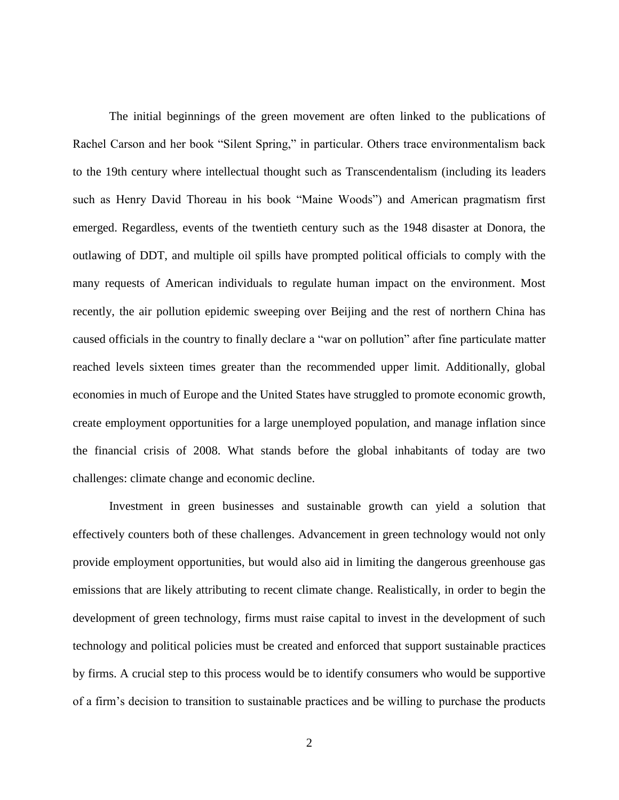The initial beginnings of the green movement are often linked to the publications of Rachel Carson and her book "Silent Spring," in particular. Others trace environmentalism back to the 19th century where intellectual thought such as Transcendentalism (including its leaders such as Henry David Thoreau in his book "Maine Woods") and American pragmatism first emerged. Regardless, events of the twentieth century such as the 1948 disaster at Donora, the outlawing of DDT, and multiple oil spills have prompted political officials to comply with the many requests of American individuals to regulate human impact on the environment. Most recently, the air pollution epidemic sweeping over Beijing and the rest of northern China has caused officials in the country to finally declare a "war on pollution" after fine particulate matter reached levels sixteen times greater than the recommended upper limit. Additionally, global economies in much of Europe and the United States have struggled to promote economic growth, create employment opportunities for a large unemployed population, and manage inflation since the financial crisis of 2008. What stands before the global inhabitants of today are two challenges: climate change and economic decline.

Investment in green businesses and sustainable growth can yield a solution that effectively counters both of these challenges. Advancement in green technology would not only provide employment opportunities, but would also aid in limiting the dangerous greenhouse gas emissions that are likely attributing to recent climate change. Realistically, in order to begin the development of green technology, firms must raise capital to invest in the development of such technology and political policies must be created and enforced that support sustainable practices by firms. A crucial step to this process would be to identify consumers who would be supportive of a firm's decision to transition to sustainable practices and be willing to purchase the products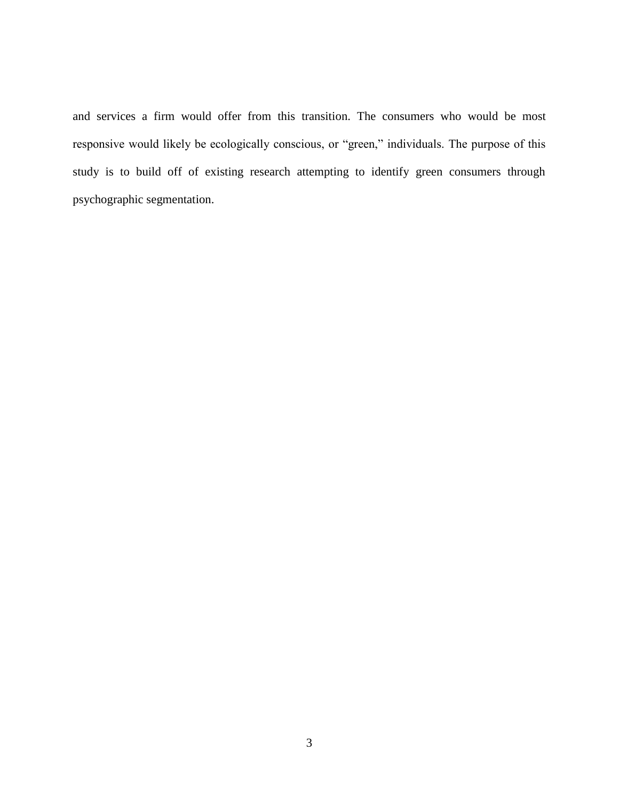and services a firm would offer from this transition. The consumers who would be most responsive would likely be ecologically conscious, or "green," individuals. The purpose of this study is to build off of existing research attempting to identify green consumers through psychographic segmentation.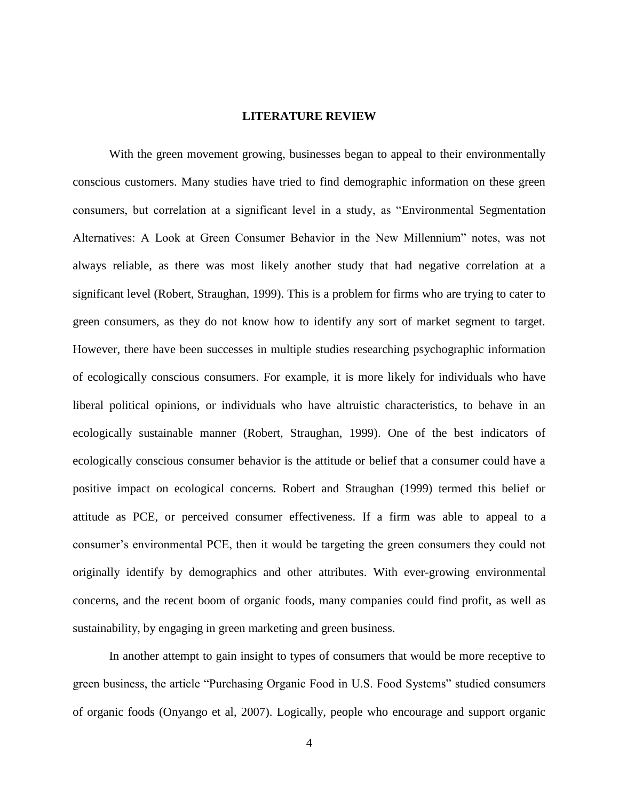#### **LITERATURE REVIEW**

<span id="page-10-0"></span>With the green movement growing, businesses began to appeal to their environmentally conscious customers. Many studies have tried to find demographic information on these green consumers, but correlation at a significant level in a study, as "Environmental Segmentation Alternatives: A Look at Green Consumer Behavior in the New Millennium" notes, was not always reliable, as there was most likely another study that had negative correlation at a significant level (Robert, Straughan, 1999). This is a problem for firms who are trying to cater to green consumers, as they do not know how to identify any sort of market segment to target. However, there have been successes in multiple studies researching psychographic information of ecologically conscious consumers. For example, it is more likely for individuals who have liberal political opinions, or individuals who have altruistic characteristics, to behave in an ecologically sustainable manner (Robert, Straughan, 1999). One of the best indicators of ecologically conscious consumer behavior is the attitude or belief that a consumer could have a positive impact on ecological concerns. Robert and Straughan (1999) termed this belief or attitude as PCE, or perceived consumer effectiveness. If a firm was able to appeal to a consumer's environmental PCE, then it would be targeting the green consumers they could not originally identify by demographics and other attributes. With ever-growing environmental concerns, and the recent boom of organic foods, many companies could find profit, as well as sustainability, by engaging in green marketing and green business.

In another attempt to gain insight to types of consumers that would be more receptive to green business, the article "Purchasing Organic Food in U.S. Food Systems" studied consumers of organic foods (Onyango et al, 2007). Logically, people who encourage and support organic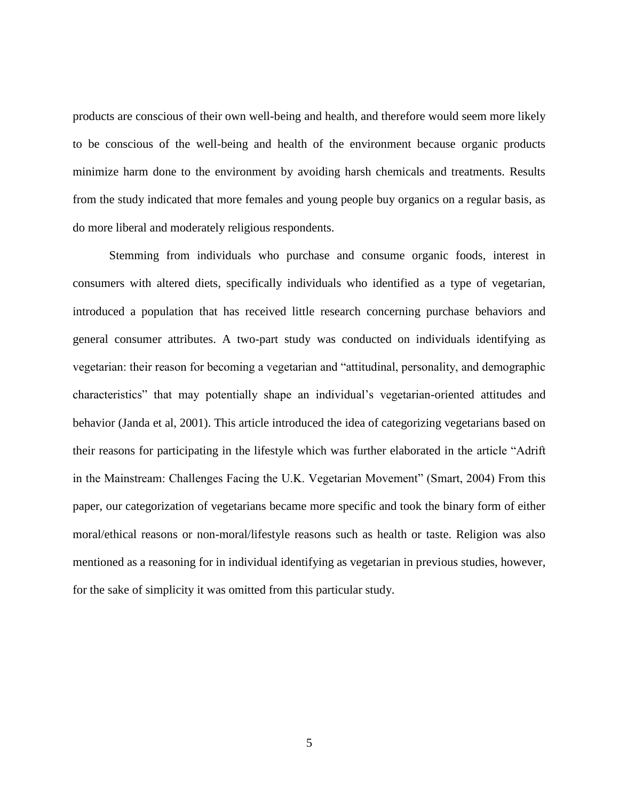products are conscious of their own well-being and health, and therefore would seem more likely to be conscious of the well-being and health of the environment because organic products minimize harm done to the environment by avoiding harsh chemicals and treatments. Results from the study indicated that more females and young people buy organics on a regular basis, as do more liberal and moderately religious respondents.

Stemming from individuals who purchase and consume organic foods, interest in consumers with altered diets, specifically individuals who identified as a type of vegetarian, introduced a population that has received little research concerning purchase behaviors and general consumer attributes. A two-part study was conducted on individuals identifying as vegetarian: their reason for becoming a vegetarian and "attitudinal, personality, and demographic characteristics" that may potentially shape an individual's vegetarian-oriented attitudes and behavior (Janda et al, 2001). This article introduced the idea of categorizing vegetarians based on their reasons for participating in the lifestyle which was further elaborated in the article "Adrift in the Mainstream: Challenges Facing the U.K. Vegetarian Movement" (Smart, 2004) From this paper, our categorization of vegetarians became more specific and took the binary form of either moral/ethical reasons or non-moral/lifestyle reasons such as health or taste. Religion was also mentioned as a reasoning for in individual identifying as vegetarian in previous studies, however, for the sake of simplicity it was omitted from this particular study.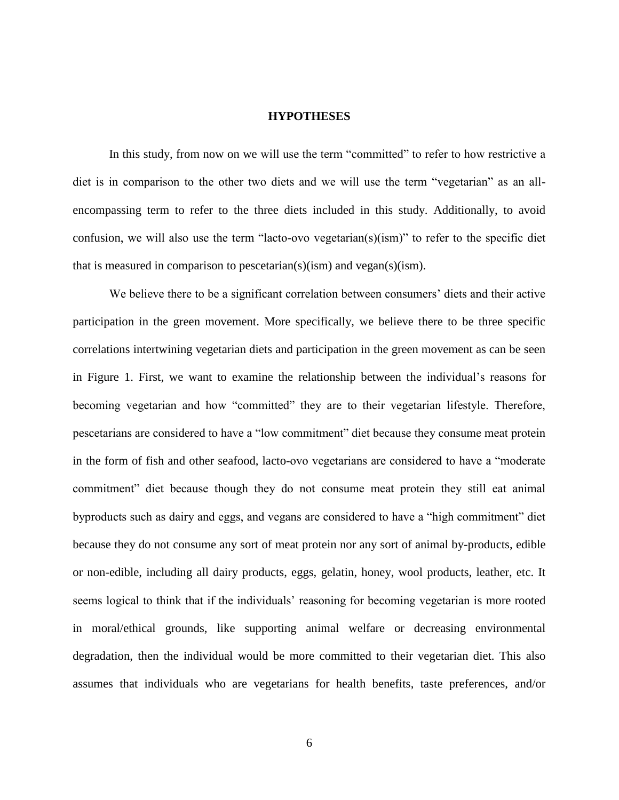#### **HYPOTHESES**

<span id="page-12-0"></span>In this study, from now on we will use the term "committed" to refer to how restrictive a diet is in comparison to the other two diets and we will use the term "vegetarian" as an allencompassing term to refer to the three diets included in this study. Additionally, to avoid confusion, we will also use the term "lacto-ovo vegetarian(s)(ism)" to refer to the specific diet that is measured in comparison to pescetarian(s)(ism) and vegan(s)(ism).

We believe there to be a significant correlation between consumers' diets and their active participation in the green movement. More specifically, we believe there to be three specific correlations intertwining vegetarian diets and participation in the green movement as can be seen in Figure 1. First, we want to examine the relationship between the individual's reasons for becoming vegetarian and how "committed" they are to their vegetarian lifestyle. Therefore, pescetarians are considered to have a "low commitment" diet because they consume meat protein in the form of fish and other seafood, lacto-ovo vegetarians are considered to have a "moderate commitment" diet because though they do not consume meat protein they still eat animal byproducts such as dairy and eggs, and vegans are considered to have a "high commitment" diet because they do not consume any sort of meat protein nor any sort of animal by-products, edible or non-edible, including all dairy products, eggs, gelatin, honey, wool products, leather, etc. It seems logical to think that if the individuals' reasoning for becoming vegetarian is more rooted in moral/ethical grounds, like supporting animal welfare or decreasing environmental degradation, then the individual would be more committed to their vegetarian diet. This also assumes that individuals who are vegetarians for health benefits, taste preferences, and/or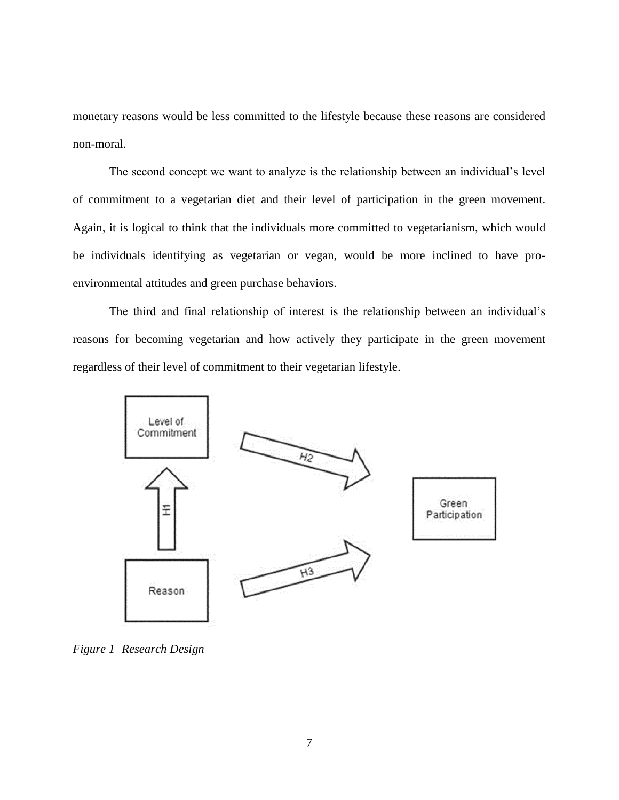monetary reasons would be less committed to the lifestyle because these reasons are considered non-moral.

The second concept we want to analyze is the relationship between an individual's level of commitment to a vegetarian diet and their level of participation in the green movement. Again, it is logical to think that the individuals more committed to vegetarianism, which would be individuals identifying as vegetarian or vegan, would be more inclined to have proenvironmental attitudes and green purchase behaviors.

The third and final relationship of interest is the relationship between an individual's reasons for becoming vegetarian and how actively they participate in the green movement regardless of their level of commitment to their vegetarian lifestyle.



<span id="page-13-0"></span>*Figure 1 Research Design*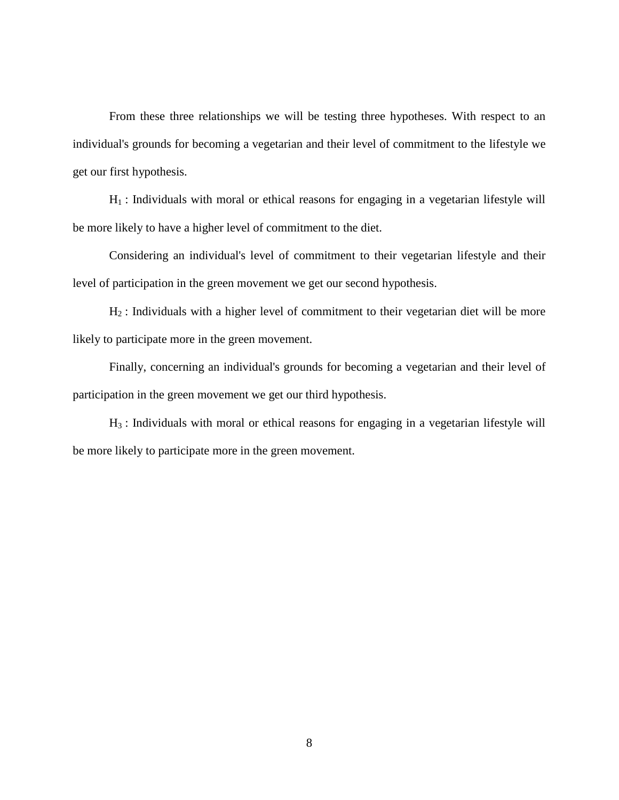From these three relationships we will be testing three hypotheses. With respect to an individual's grounds for becoming a vegetarian and their level of commitment to the lifestyle we get our first hypothesis.

 $H<sub>1</sub>$ : Individuals with moral or ethical reasons for engaging in a vegetarian lifestyle will be more likely to have a higher level of commitment to the diet.

Considering an individual's level of commitment to their vegetarian lifestyle and their level of participation in the green movement we get our second hypothesis.

H2 : Individuals with a higher level of commitment to their vegetarian diet will be more likely to participate more in the green movement.

Finally, concerning an individual's grounds for becoming a vegetarian and their level of participation in the green movement we get our third hypothesis.

 $H<sub>3</sub>$ : Individuals with moral or ethical reasons for engaging in a vegetarian lifestyle will be more likely to participate more in the green movement.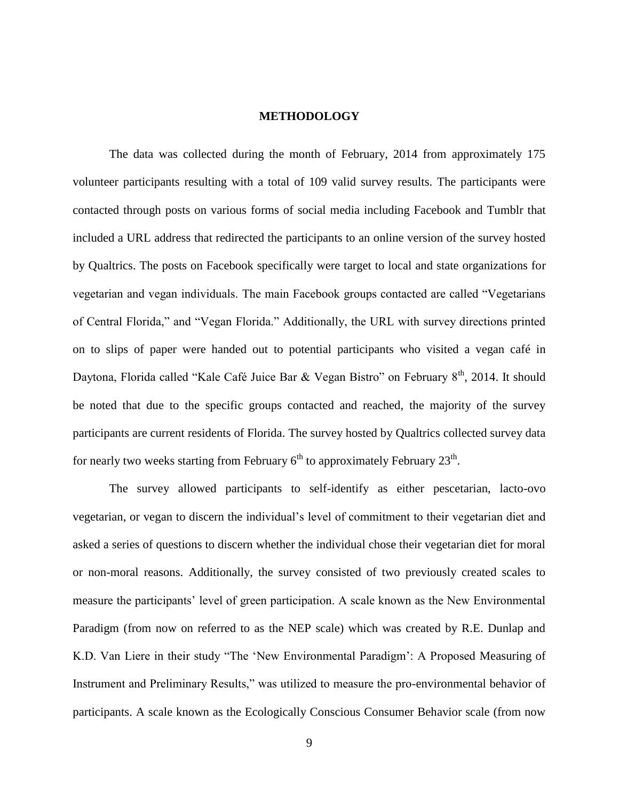#### **METHODOLOGY**

<span id="page-15-0"></span>The data was collected during the month of February, 2014 from approximately 175 volunteer participants resulting with a total of 109 valid survey results. The participants were contacted through posts on various forms of social media including Facebook and Tumblr that included a URL address that redirected the participants to an online version of the survey hosted by Qualtrics. The posts on Facebook specifically were target to local and state organizations for vegetarian and vegan individuals. The main Facebook groups contacted are called "Vegetarians of Central Florida," and "Vegan Florida." Additionally, the URL with survey directions printed on to slips of paper were handed out to potential participants who visited a vegan café in Daytona, Florida called "Kale Café Juice Bar & Vegan Bistro" on February 8<sup>th</sup>, 2014. It should be noted that due to the specific groups contacted and reached, the majority of the survey participants are current residents of Florida. The survey hosted by Qualtrics collected survey data for nearly two weeks starting from February  $6<sup>th</sup>$  to approximately February  $23<sup>th</sup>$ .

The survey allowed participants to self-identify as either pescetarian, lacto-ovo vegetarian, or vegan to discern the individual's level of commitment to their vegetarian diet and asked a series of questions to discern whether the individual chose their vegetarian diet for moral or non-moral reasons. Additionally, the survey consisted of two previously created scales to measure the participants' level of green participation. A scale known as the New Environmental Paradigm (from now on referred to as the NEP scale) which was created by R.E. Dunlap and K.D. Van Liere in their study "The 'New Environmental Paradigm': A Proposed Measuring of Instrument and Preliminary Results," was utilized to measure the pro-environmental behavior of participants. A scale known as the Ecologically Conscious Consumer Behavior scale (from now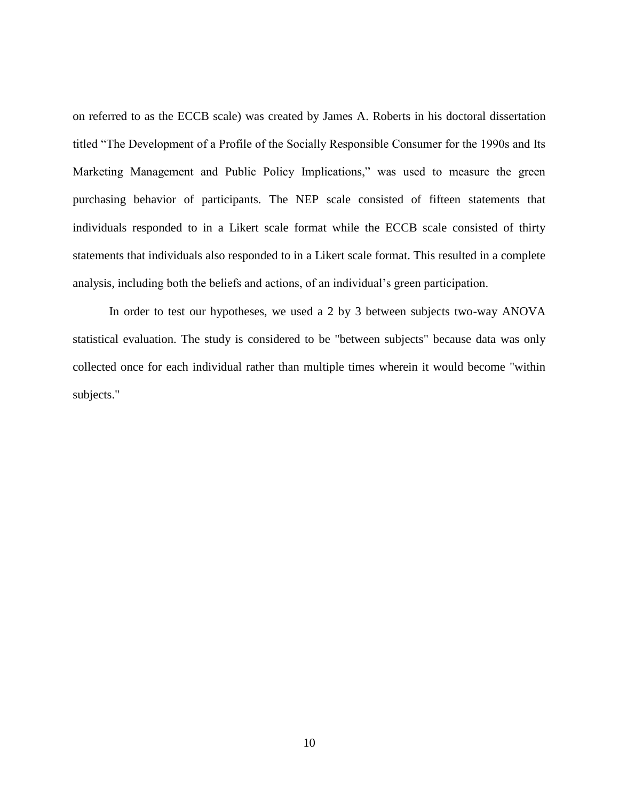on referred to as the ECCB scale) was created by James A. Roberts in his doctoral dissertation titled "The Development of a Profile of the Socially Responsible Consumer for the 1990s and Its Marketing Management and Public Policy Implications," was used to measure the green purchasing behavior of participants. The NEP scale consisted of fifteen statements that individuals responded to in a Likert scale format while the ECCB scale consisted of thirty statements that individuals also responded to in a Likert scale format. This resulted in a complete analysis, including both the beliefs and actions, of an individual's green participation.

In order to test our hypotheses, we used a 2 by 3 between subjects two-way ANOVA statistical evaluation. The study is considered to be "between subjects" because data was only collected once for each individual rather than multiple times wherein it would become "within subjects."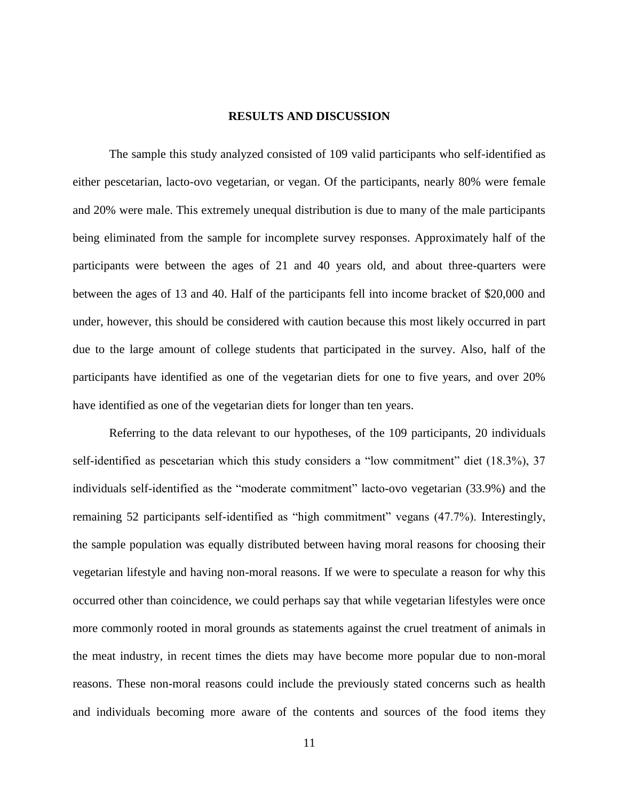#### **RESULTS AND DISCUSSION**

<span id="page-17-0"></span>The sample this study analyzed consisted of 109 valid participants who self-identified as either pescetarian, lacto-ovo vegetarian, or vegan. Of the participants, nearly 80% were female and 20% were male. This extremely unequal distribution is due to many of the male participants being eliminated from the sample for incomplete survey responses. Approximately half of the participants were between the ages of 21 and 40 years old, and about three-quarters were between the ages of 13 and 40. Half of the participants fell into income bracket of \$20,000 and under, however, this should be considered with caution because this most likely occurred in part due to the large amount of college students that participated in the survey. Also, half of the participants have identified as one of the vegetarian diets for one to five years, and over 20% have identified as one of the vegetarian diets for longer than ten years.

Referring to the data relevant to our hypotheses, of the 109 participants, 20 individuals self-identified as pescetarian which this study considers a "low commitment" diet (18.3%), 37 individuals self-identified as the "moderate commitment" lacto-ovo vegetarian (33.9%) and the remaining 52 participants self-identified as "high commitment" vegans (47.7%). Interestingly, the sample population was equally distributed between having moral reasons for choosing their vegetarian lifestyle and having non-moral reasons. If we were to speculate a reason for why this occurred other than coincidence, we could perhaps say that while vegetarian lifestyles were once more commonly rooted in moral grounds as statements against the cruel treatment of animals in the meat industry, in recent times the diets may have become more popular due to non-moral reasons. These non-moral reasons could include the previously stated concerns such as health and individuals becoming more aware of the contents and sources of the food items they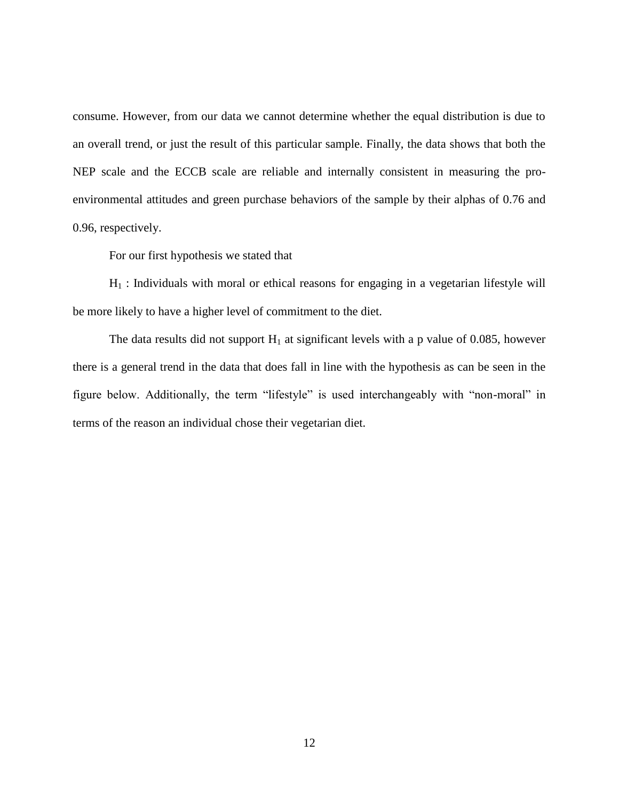consume. However, from our data we cannot determine whether the equal distribution is due to an overall trend, or just the result of this particular sample. Finally, the data shows that both the NEP scale and the ECCB scale are reliable and internally consistent in measuring the proenvironmental attitudes and green purchase behaviors of the sample by their alphas of 0.76 and 0.96, respectively.

For our first hypothesis we stated that

 $H<sub>1</sub>$ : Individuals with moral or ethical reasons for engaging in a vegetarian lifestyle will be more likely to have a higher level of commitment to the diet.

The data results did not support  $H_1$  at significant levels with a p value of 0.085, however there is a general trend in the data that does fall in line with the hypothesis as can be seen in the figure below. Additionally, the term "lifestyle" is used interchangeably with "non-moral" in terms of the reason an individual chose their vegetarian diet.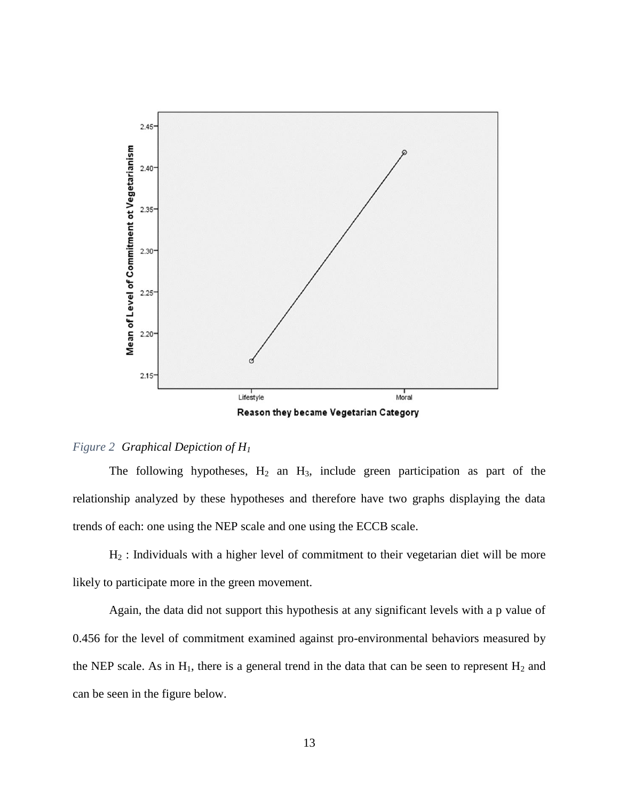

Reason they became Vegetarian Category

#### <span id="page-19-0"></span>*Figure 2 Graphical Depiction of H<sup>1</sup>*

The following hypotheses,  $H_2$  an  $H_3$ , include green participation as part of the relationship analyzed by these hypotheses and therefore have two graphs displaying the data trends of each: one using the NEP scale and one using the ECCB scale.

 $H<sub>2</sub>$ : Individuals with a higher level of commitment to their vegetarian diet will be more likely to participate more in the green movement.

Again, the data did not support this hypothesis at any significant levels with a p value of 0.456 for the level of commitment examined against pro-environmental behaviors measured by the NEP scale. As in  $H_1$ , there is a general trend in the data that can be seen to represent  $H_2$  and can be seen in the figure below.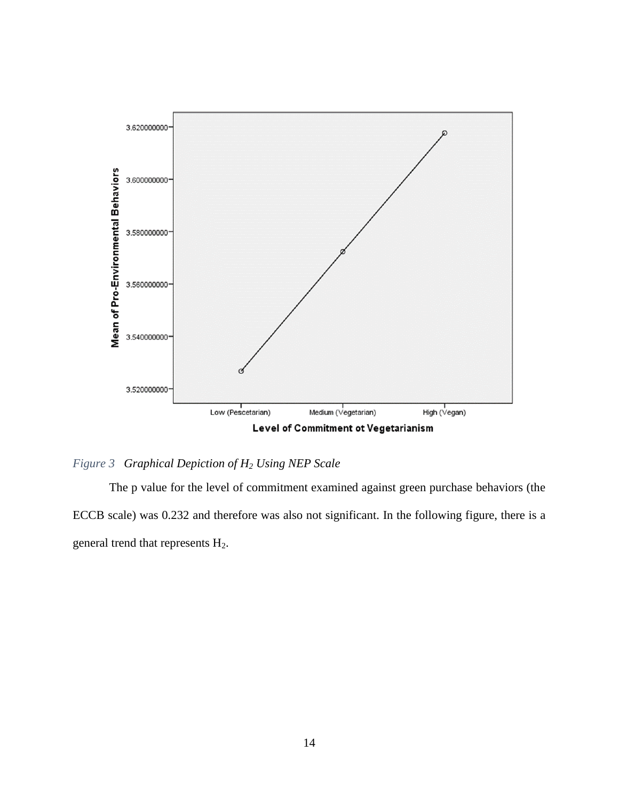

<span id="page-20-0"></span>*Figure 3 Graphical Depiction of H<sup>2</sup> Using NEP Scale*

The p value for the level of commitment examined against green purchase behaviors (the ECCB scale) was 0.232 and therefore was also not significant. In the following figure, there is a general trend that represents H2.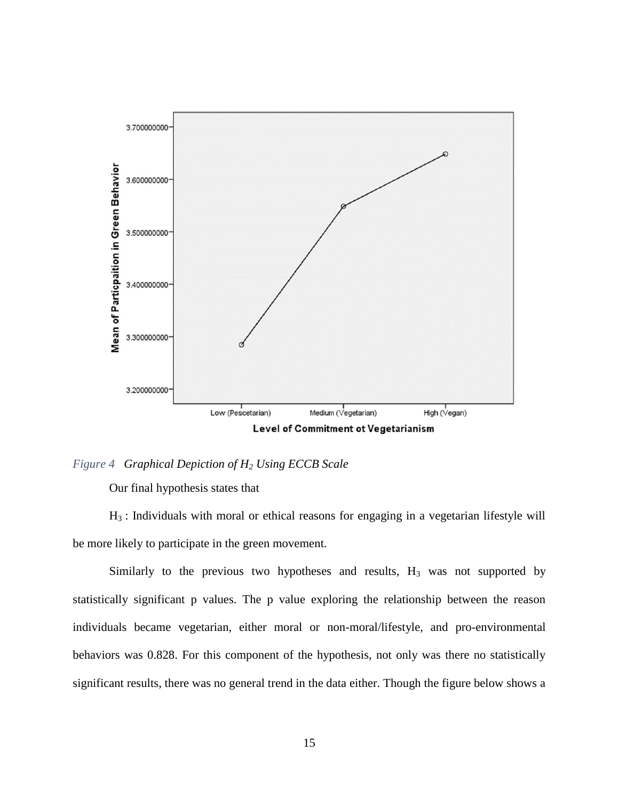

<span id="page-21-0"></span>*Figure 4 Graphical Depiction of H<sup>2</sup> Using ECCB Scale*

Our final hypothesis states that

H3 : Individuals with moral or ethical reasons for engaging in a vegetarian lifestyle will be more likely to participate in the green movement.

Similarly to the previous two hypotheses and results,  $H_3$  was not supported by statistically significant p values. The p value exploring the relationship between the reason individuals became vegetarian, either moral or non-moral/lifestyle, and pro-environmental behaviors was 0.828. For this component of the hypothesis, not only was there no statistically significant results, there was no general trend in the data either. Though the figure below shows a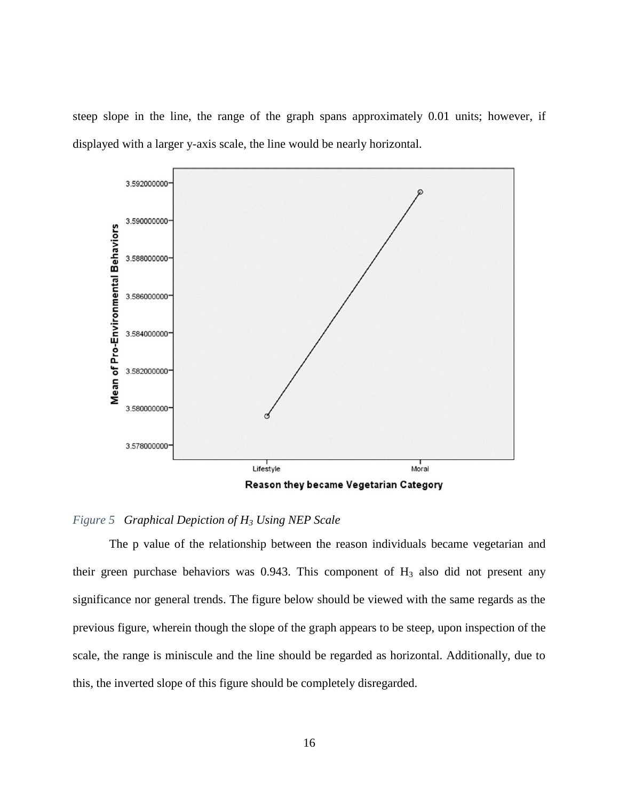steep slope in the line, the range of the graph spans approximately 0.01 units; however, if displayed with a larger y-axis scale, the line would be nearly horizontal.



#### <span id="page-22-0"></span>*Figure 5 Graphical Depiction of H<sup>3</sup> Using NEP Scale*

The p value of the relationship between the reason individuals became vegetarian and their green purchase behaviors was  $0.943$ . This component of  $H_3$  also did not present any significance nor general trends. The figure below should be viewed with the same regards as the previous figure, wherein though the slope of the graph appears to be steep, upon inspection of the scale, the range is miniscule and the line should be regarded as horizontal. Additionally, due to this, the inverted slope of this figure should be completely disregarded.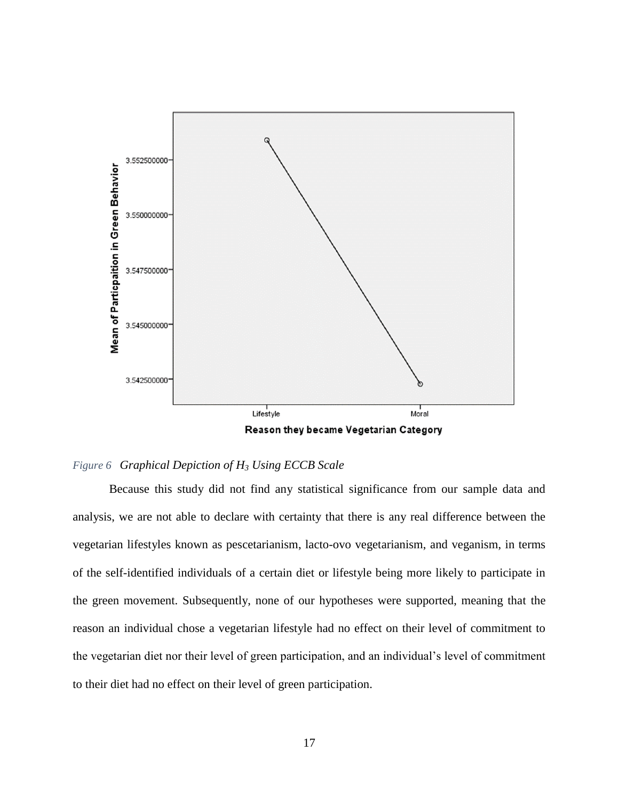

#### <span id="page-23-0"></span>*Figure 6 Graphical Depiction of H<sup>3</sup> Using ECCB Scale*

Because this study did not find any statistical significance from our sample data and analysis, we are not able to declare with certainty that there is any real difference between the vegetarian lifestyles known as pescetarianism, lacto-ovo vegetarianism, and veganism, in terms of the self-identified individuals of a certain diet or lifestyle being more likely to participate in the green movement. Subsequently, none of our hypotheses were supported, meaning that the reason an individual chose a vegetarian lifestyle had no effect on their level of commitment to the vegetarian diet nor their level of green participation, and an individual's level of commitment to their diet had no effect on their level of green participation.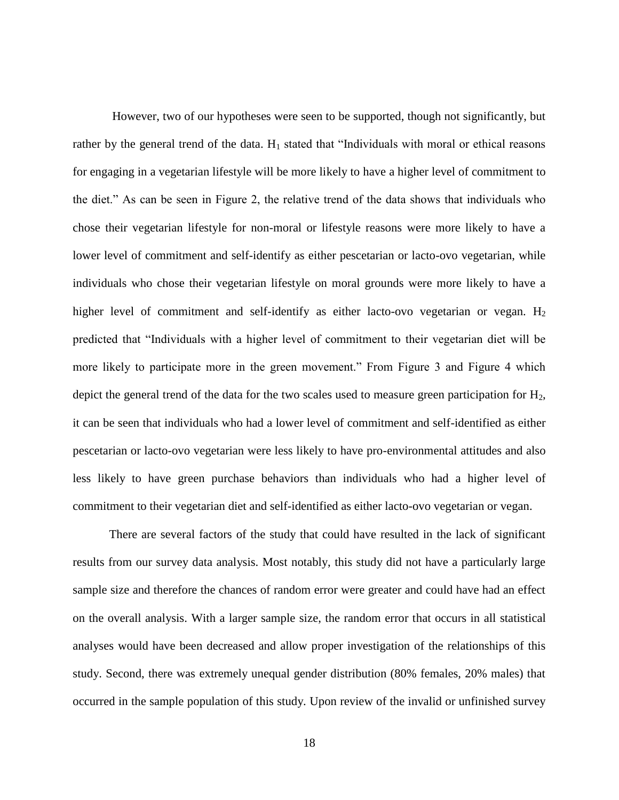However, two of our hypotheses were seen to be supported, though not significantly, but rather by the general trend of the data.  $H_1$  stated that "Individuals with moral or ethical reasons for engaging in a vegetarian lifestyle will be more likely to have a higher level of commitment to the diet." As can be seen in Figure 2, the relative trend of the data shows that individuals who chose their vegetarian lifestyle for non-moral or lifestyle reasons were more likely to have a lower level of commitment and self-identify as either pescetarian or lacto-ovo vegetarian, while individuals who chose their vegetarian lifestyle on moral grounds were more likely to have a higher level of commitment and self-identify as either lacto-ovo vegetarian or vegan.  $H_2$ predicted that "Individuals with a higher level of commitment to their vegetarian diet will be more likely to participate more in the green movement." From Figure 3 and Figure 4 which depict the general trend of the data for the two scales used to measure green participation for  $H_2$ , it can be seen that individuals who had a lower level of commitment and self-identified as either pescetarian or lacto-ovo vegetarian were less likely to have pro-environmental attitudes and also less likely to have green purchase behaviors than individuals who had a higher level of commitment to their vegetarian diet and self-identified as either lacto-ovo vegetarian or vegan.

There are several factors of the study that could have resulted in the lack of significant results from our survey data analysis. Most notably, this study did not have a particularly large sample size and therefore the chances of random error were greater and could have had an effect on the overall analysis. With a larger sample size, the random error that occurs in all statistical analyses would have been decreased and allow proper investigation of the relationships of this study. Second, there was extremely unequal gender distribution (80% females, 20% males) that occurred in the sample population of this study. Upon review of the invalid or unfinished survey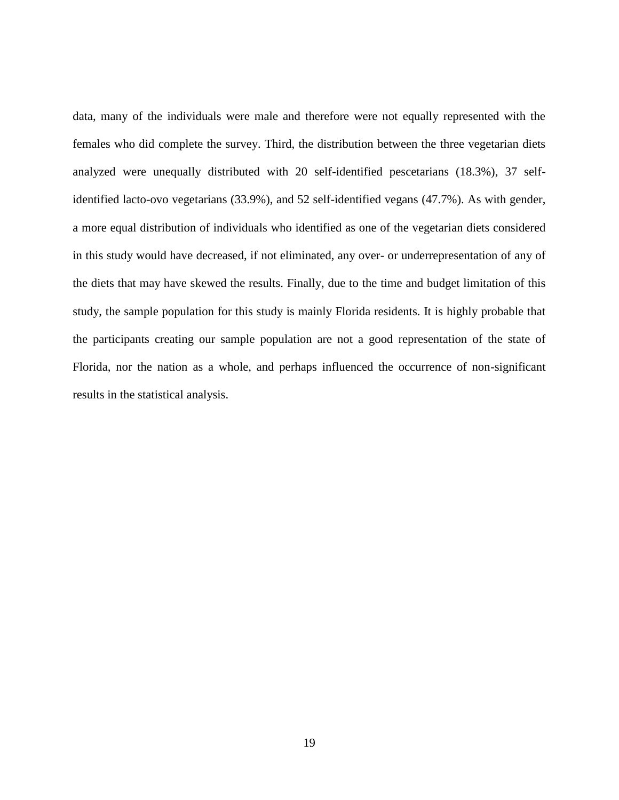data, many of the individuals were male and therefore were not equally represented with the females who did complete the survey. Third, the distribution between the three vegetarian diets analyzed were unequally distributed with 20 self-identified pescetarians (18.3%), 37 selfidentified lacto-ovo vegetarians (33.9%), and 52 self-identified vegans (47.7%). As with gender, a more equal distribution of individuals who identified as one of the vegetarian diets considered in this study would have decreased, if not eliminated, any over- or underrepresentation of any of the diets that may have skewed the results. Finally, due to the time and budget limitation of this study, the sample population for this study is mainly Florida residents. It is highly probable that the participants creating our sample population are not a good representation of the state of Florida, nor the nation as a whole, and perhaps influenced the occurrence of non-significant results in the statistical analysis.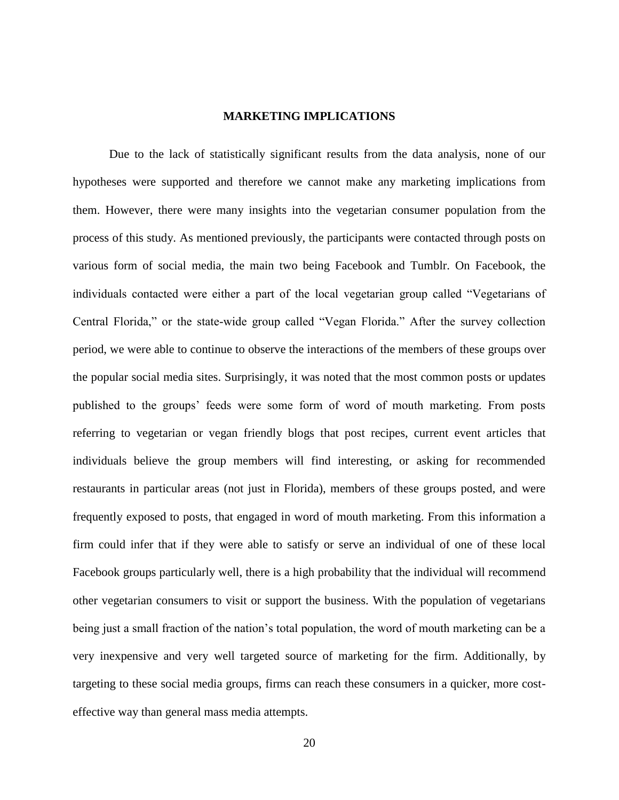#### **MARKETING IMPLICATIONS**

<span id="page-26-0"></span>Due to the lack of statistically significant results from the data analysis, none of our hypotheses were supported and therefore we cannot make any marketing implications from them. However, there were many insights into the vegetarian consumer population from the process of this study. As mentioned previously, the participants were contacted through posts on various form of social media, the main two being Facebook and Tumblr. On Facebook, the individuals contacted were either a part of the local vegetarian group called "Vegetarians of Central Florida," or the state-wide group called "Vegan Florida." After the survey collection period, we were able to continue to observe the interactions of the members of these groups over the popular social media sites. Surprisingly, it was noted that the most common posts or updates published to the groups' feeds were some form of word of mouth marketing. From posts referring to vegetarian or vegan friendly blogs that post recipes, current event articles that individuals believe the group members will find interesting, or asking for recommended restaurants in particular areas (not just in Florida), members of these groups posted, and were frequently exposed to posts, that engaged in word of mouth marketing. From this information a firm could infer that if they were able to satisfy or serve an individual of one of these local Facebook groups particularly well, there is a high probability that the individual will recommend other vegetarian consumers to visit or support the business. With the population of vegetarians being just a small fraction of the nation's total population, the word of mouth marketing can be a very inexpensive and very well targeted source of marketing for the firm. Additionally, by targeting to these social media groups, firms can reach these consumers in a quicker, more costeffective way than general mass media attempts.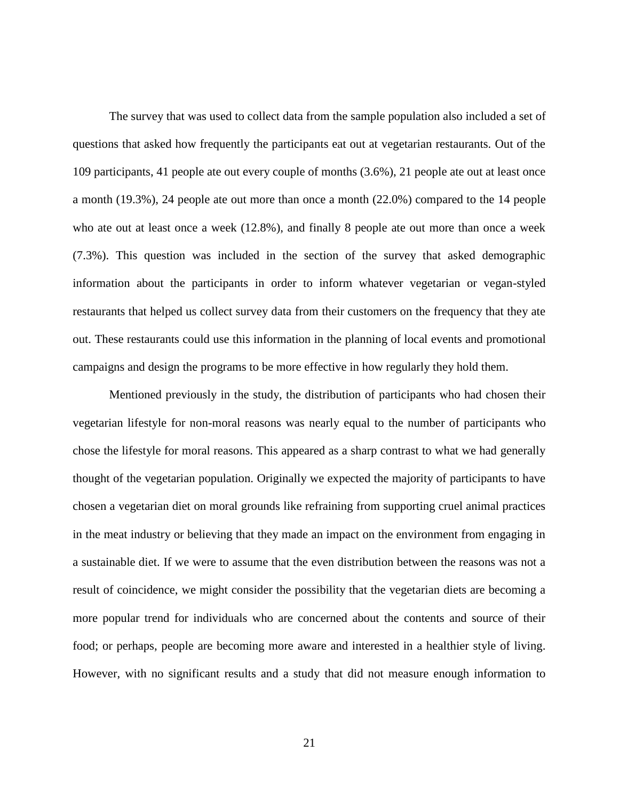The survey that was used to collect data from the sample population also included a set of questions that asked how frequently the participants eat out at vegetarian restaurants. Out of the 109 participants, 41 people ate out every couple of months (3.6%), 21 people ate out at least once a month (19.3%), 24 people ate out more than once a month (22.0%) compared to the 14 people who ate out at least once a week (12.8%), and finally 8 people ate out more than once a week (7.3%). This question was included in the section of the survey that asked demographic information about the participants in order to inform whatever vegetarian or vegan-styled restaurants that helped us collect survey data from their customers on the frequency that they ate out. These restaurants could use this information in the planning of local events and promotional campaigns and design the programs to be more effective in how regularly they hold them.

Mentioned previously in the study, the distribution of participants who had chosen their vegetarian lifestyle for non-moral reasons was nearly equal to the number of participants who chose the lifestyle for moral reasons. This appeared as a sharp contrast to what we had generally thought of the vegetarian population. Originally we expected the majority of participants to have chosen a vegetarian diet on moral grounds like refraining from supporting cruel animal practices in the meat industry or believing that they made an impact on the environment from engaging in a sustainable diet. If we were to assume that the even distribution between the reasons was not a result of coincidence, we might consider the possibility that the vegetarian diets are becoming a more popular trend for individuals who are concerned about the contents and source of their food; or perhaps, people are becoming more aware and interested in a healthier style of living. However, with no significant results and a study that did not measure enough information to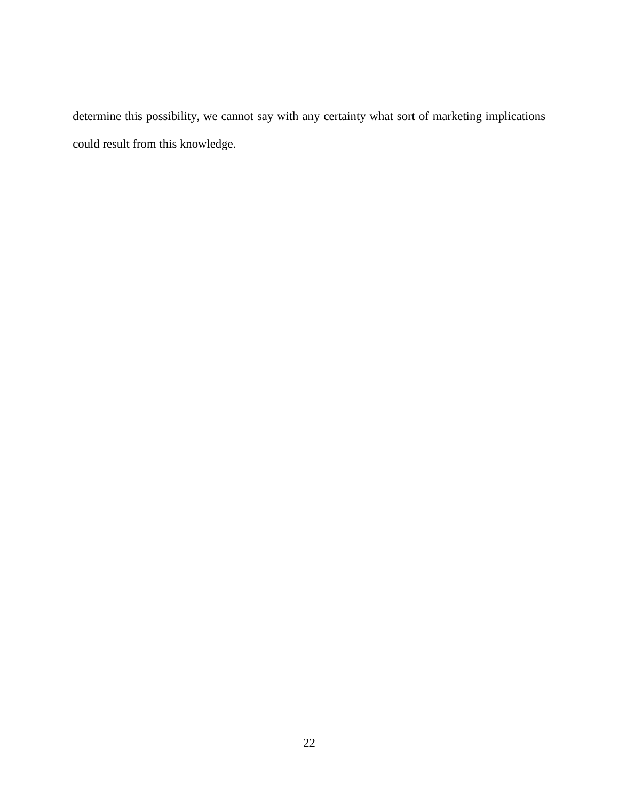determine this possibility, we cannot say with any certainty what sort of marketing implications could result from this knowledge.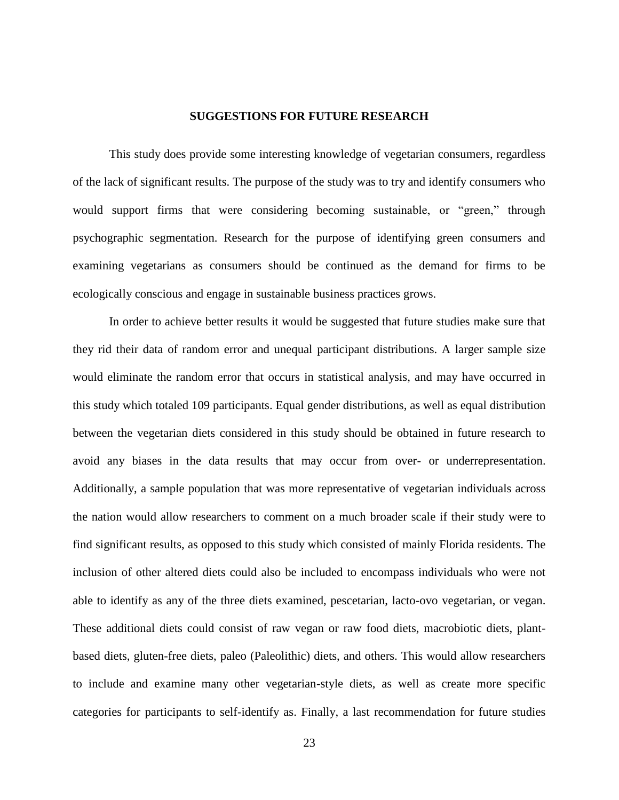#### **SUGGESTIONS FOR FUTURE RESEARCH**

<span id="page-29-0"></span>This study does provide some interesting knowledge of vegetarian consumers, regardless of the lack of significant results. The purpose of the study was to try and identify consumers who would support firms that were considering becoming sustainable, or "green," through psychographic segmentation. Research for the purpose of identifying green consumers and examining vegetarians as consumers should be continued as the demand for firms to be ecologically conscious and engage in sustainable business practices grows.

In order to achieve better results it would be suggested that future studies make sure that they rid their data of random error and unequal participant distributions. A larger sample size would eliminate the random error that occurs in statistical analysis, and may have occurred in this study which totaled 109 participants. Equal gender distributions, as well as equal distribution between the vegetarian diets considered in this study should be obtained in future research to avoid any biases in the data results that may occur from over- or underrepresentation. Additionally, a sample population that was more representative of vegetarian individuals across the nation would allow researchers to comment on a much broader scale if their study were to find significant results, as opposed to this study which consisted of mainly Florida residents. The inclusion of other altered diets could also be included to encompass individuals who were not able to identify as any of the three diets examined, pescetarian, lacto-ovo vegetarian, or vegan. These additional diets could consist of raw vegan or raw food diets, macrobiotic diets, plantbased diets, gluten-free diets, paleo (Paleolithic) diets, and others. This would allow researchers to include and examine many other vegetarian-style diets, as well as create more specific categories for participants to self-identify as. Finally, a last recommendation for future studies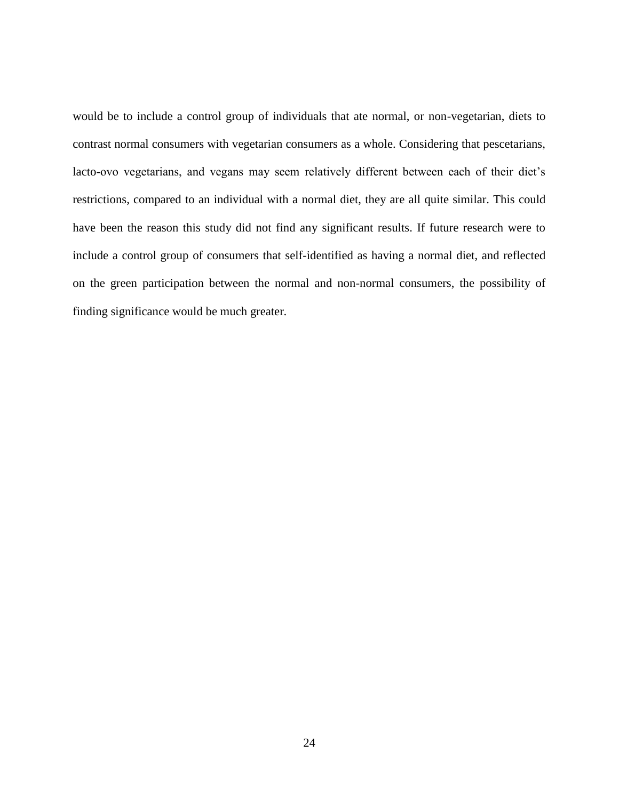would be to include a control group of individuals that ate normal, or non-vegetarian, diets to contrast normal consumers with vegetarian consumers as a whole. Considering that pescetarians, lacto-ovo vegetarians, and vegans may seem relatively different between each of their diet's restrictions, compared to an individual with a normal diet, they are all quite similar. This could have been the reason this study did not find any significant results. If future research were to include a control group of consumers that self-identified as having a normal diet, and reflected on the green participation between the normal and non-normal consumers, the possibility of finding significance would be much greater.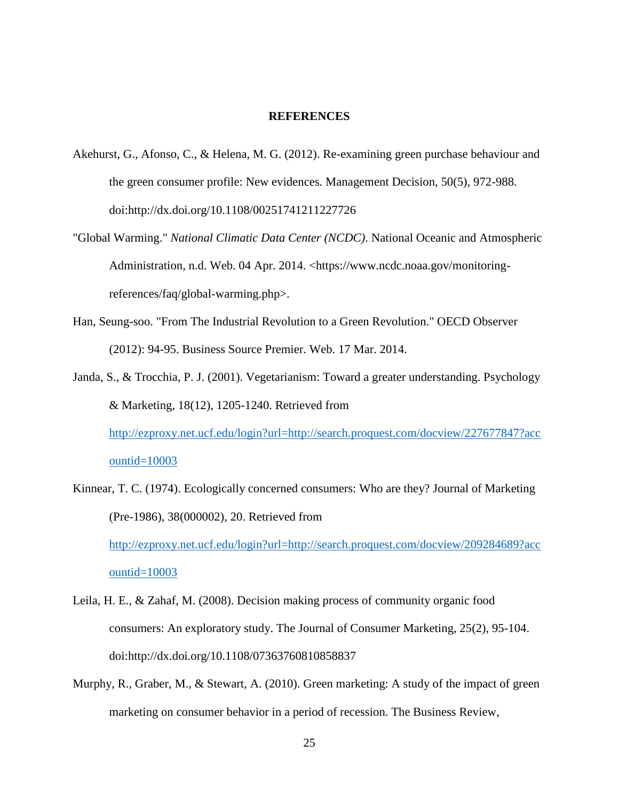#### **REFERENCES**

- <span id="page-31-0"></span>Akehurst, G., Afonso, C., & Helena, M. G. (2012). Re-examining green purchase behaviour and the green consumer profile: New evidences. Management Decision, 50(5), 972-988. doi:http://dx.doi.org/10.1108/00251741211227726
- "Global Warming." *National Climatic Data Center (NCDC)*. National Oceanic and Atmospheric Administration, n.d. Web. 04 Apr. 2014. <https://www.ncdc.noaa.gov/monitoringreferences/faq/global-warming.php>.
- Han, Seung-soo. "From The Industrial Revolution to a Green Revolution." OECD Observer (2012): 94-95. Business Source Premier. Web. 17 Mar. 2014.
- Janda, S., & Trocchia, P. J. (2001). Vegetarianism: Toward a greater understanding. Psychology & Marketing, 18(12), 1205-1240. Retrieved from

[http://ezproxy.net.ucf.edu/login?url=http://search.proquest.com/docview/227677847?acc](http://ezproxy.net.ucf.edu/login?url=http://search.proquest.com/docview/227677847?accountid=10003) [ountid=10003](http://ezproxy.net.ucf.edu/login?url=http://search.proquest.com/docview/227677847?accountid=10003)

- Kinnear, T. C. (1974). Ecologically concerned consumers: Who are they? Journal of Marketing (Pre-1986), 38(000002), 20. Retrieved from [http://ezproxy.net.ucf.edu/login?url=http://search.proquest.com/docview/209284689?acc](http://ezproxy.net.ucf.edu/login?url=http://search.proquest.com/docview/209284689?accountid=10003) [ountid=10003](http://ezproxy.net.ucf.edu/login?url=http://search.proquest.com/docview/209284689?accountid=10003)
- Leila, H. E., & Zahaf, M. (2008). Decision making process of community organic food consumers: An exploratory study. The Journal of Consumer Marketing, 25(2), 95-104. doi:http://dx.doi.org/10.1108/07363760810858837
- Murphy, R., Graber, M., & Stewart, A. (2010). Green marketing: A study of the impact of green marketing on consumer behavior in a period of recession. The Business Review,